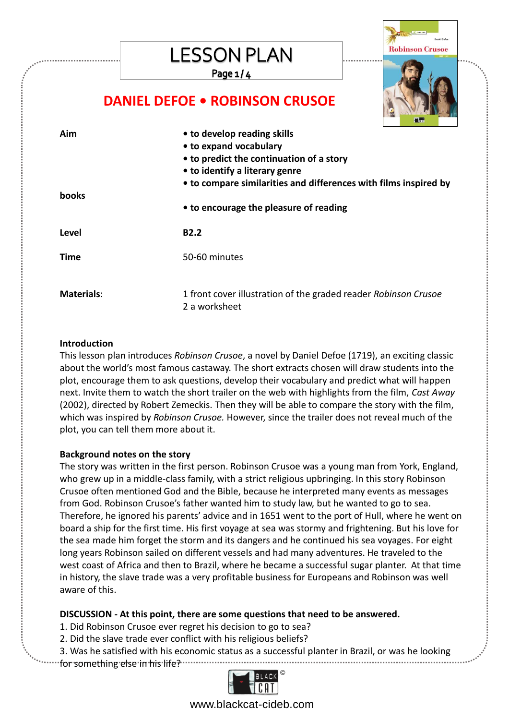## **LESSON PLAN**

Page  $1/4$ 



### **DANIEL DEFOE • ROBINSON CRUSOE**

| Aim          | • to develop reading skills<br>• to expand vocabulary<br>• to predict the continuation of a story<br>• to identify a literary genre |
|--------------|-------------------------------------------------------------------------------------------------------------------------------------|
|              | • to compare similarities and differences with films inspired by                                                                    |
| <b>books</b> |                                                                                                                                     |
|              | • to encourage the pleasure of reading                                                                                              |
|              |                                                                                                                                     |
| Level        | <b>B2.2</b>                                                                                                                         |
| Time         | 50-60 minutes                                                                                                                       |
|              |                                                                                                                                     |

#### **Introduction**

This lesson plan introduces *Robinson Crusoe*, a novel by Daniel Defoe (1719), an exciting classic about the world's most famous castaway. The short extracts chosen will draw students into the plot, encourage them to ask questions, develop their vocabulary and predict what will happen next. Invite them to watch the short trailer on the web with highlights from the film, *Cast Away* (2002), directed by Robert Zemeckis. Then they will be able to compare the story with the film, which was inspired by *Robinson Crusoe.* However, since the trailer does not reveal much of the plot, you can tell them more about it.

#### **Background notes on the story**

The story was written in the first person. Robinson Crusoe was a young man from York, England, who grew up in a middle-class family, with a strict religious upbringing. In this story Robinson Crusoe often mentioned God and the Bible, because he interpreted many events as messages from God. Robinson Crusoe's father wanted him to study law, but he wanted to go to sea. Therefore, he ignored his parents' advice and in 1651 went to the port of Hull, where he went on board a ship for the first time. His first voyage at sea was stormy and frightening. But his love for the sea made him forget the storm and its dangers and he continued his sea voyages. For eight long years Robinson sailed on different vessels and had many adventures. He traveled to the west coast of Africa and then to Brazil, where he became a successful sugar planter. At that time in history, the slave trade was a very profitable business for Europeans and Robinson was well aware of this.

#### **DISCUSSION - At this point, there are some questions that need to be answered.**

- 1. Did Robinson Crusoe ever regret his decision to go to sea?
- 2. Did the slave trade ever conflict with his religious beliefs?
- 3. Was he satisfied with his economic status as a successful planter in Brazil, or was he looking for something else in his life? .....



www.blackcat-cideb.com